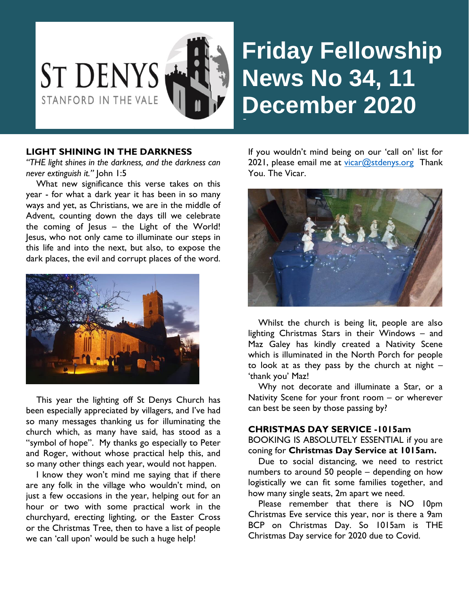

# **Friday Fellowship News No 34, 11 December** 2020

## **LIGHT SHINING IN THE DARKNESS**

*"THE light shines in the darkness, and the darkness can never extinguish it."* John 1:5

 What new significance this verse takes on this year - for what a dark year it has been in so many ways and yet, as Christians, we are in the middle of Advent, counting down the days till we celebrate the coming of Jesus – the Light of the World! Jesus, who not only came to illuminate our steps in this life and into the next, but also, to expose the dark places, the evil and corrupt places of the word.



This year the lighting off St Denys Church has been especially appreciated by villagers, and I've had so many messages thanking us for illuminating the church which, as many have said, has stood as a "symbol of hope". My thanks go especially to Peter and Roger, without whose practical help this, and so many other things each year, would not happen.

 I know they won't mind me saying that if there are any folk in the village who wouldn't mind, on just a few occasions in the year, helping out for an hour or two with some practical work in the churchyard, erecting lighting, or the Easter Cross or the Christmas Tree, then to have a list of people we can 'call upon' would be such a huge help!

If you wouldn't mind being on our 'call on' list for 2021, please email me at  $vicar@stdenys.org$  Thank You. The Vicar.



 Whilst the church is being lit, people are also lighting Christmas Stars in their Windows – and Maz Galey has kindly created a Nativity Scene which is illuminated in the North Porch for people to look at as they pass by the church at night  $-$ 'thank you' Maz!

 Why not decorate and illuminate a Star, or a Nativity Scene for your front room – or wherever can best be seen by those passing by?

#### **CHRISTMAS DAY SERVICE -1015am**

BOOKING IS ABSOLUTELY ESSENTIAL if you are coning for **Christmas Day Service at 1015am.**

 Due to social distancing, we need to restrict numbers to around 50 people – depending on how logistically we can fit some families together, and how many single seats, 2m apart we need.

Please remember that there is NO 10pm Christmas Eve service this year, nor is there a 9am BCP on Christmas Day. So 1015am is THE Christmas Day service for 2020 due to Covid.